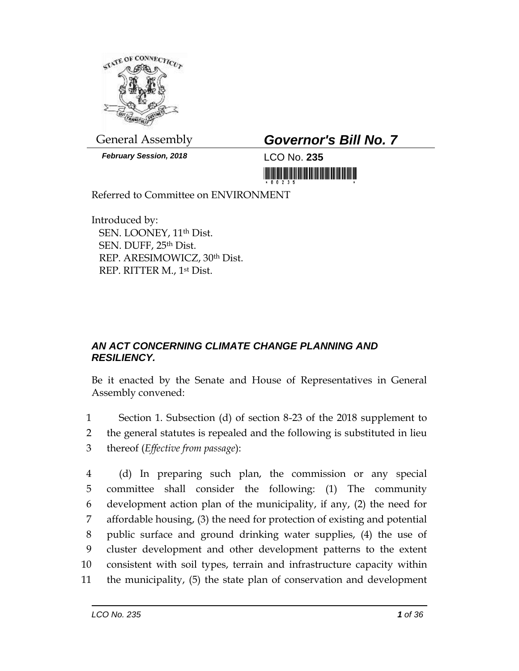

*February Session, 2018* LCO No. **235**

## General Assembly *Governor's Bill No. 7*

<u> 1999 - Johann Maria Maria Maria Maria Maria Maria Maria Maria Maria Maria Maria Maria Maria Maria Maria Mari</u>

Referred to Committee on ENVIRONMENT

Introduced by: SEN. LOONEY, 11th Dist. SEN. DUFF, 25th Dist. REP. ARESIMOWICZ, 30th Dist. REP. RITTER M., 1st Dist.

## *AN ACT CONCERNING CLIMATE CHANGE PLANNING AND RESILIENCY.*

Be it enacted by the Senate and House of Representatives in General Assembly convened:

1 Section 1. Subsection (d) of section 8-23 of the 2018 supplement to 2 the general statutes is repealed and the following is substituted in lieu 3 thereof (*Effective from passage*):

 (d) In preparing such plan, the commission or any special committee shall consider the following: (1) The community development action plan of the municipality, if any, (2) the need for affordable housing, (3) the need for protection of existing and potential public surface and ground drinking water supplies, (4) the use of cluster development and other development patterns to the extent consistent with soil types, terrain and infrastructure capacity within the municipality, (5) the state plan of conservation and development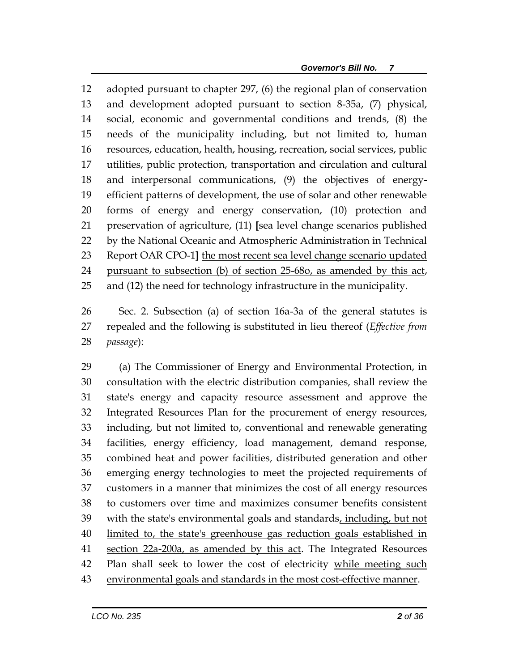adopted pursuant to chapter 297, (6) the regional plan of conservation and development adopted pursuant to section 8-35a, (7) physical, social, economic and governmental conditions and trends, (8) the needs of the municipality including, but not limited to, human resources, education, health, housing, recreation, social services, public utilities, public protection, transportation and circulation and cultural and interpersonal communications, (9) the objectives of energy- efficient patterns of development, the use of solar and other renewable forms of energy and energy conservation, (10) protection and preservation of agriculture, (11) **[**sea level change scenarios published by the National Oceanic and Atmospheric Administration in Technical Report OAR CPO-1**]** the most recent sea level change scenario updated pursuant to subsection (b) of section 25-68o, as amended by this act, and (12) the need for technology infrastructure in the municipality.

 Sec. 2. Subsection (a) of section 16a-3a of the general statutes is repealed and the following is substituted in lieu thereof (*Effective from passage*):

 (a) The Commissioner of Energy and Environmental Protection, in consultation with the electric distribution companies, shall review the state's energy and capacity resource assessment and approve the Integrated Resources Plan for the procurement of energy resources, including, but not limited to, conventional and renewable generating facilities, energy efficiency, load management, demand response, combined heat and power facilities, distributed generation and other emerging energy technologies to meet the projected requirements of customers in a manner that minimizes the cost of all energy resources to customers over time and maximizes consumer benefits consistent with the state's environmental goals and standards, including, but not limited to, the state's greenhouse gas reduction goals established in 41 section 22a-200a, as amended by this act. The Integrated Resources Plan shall seek to lower the cost of electricity while meeting such environmental goals and standards in the most cost-effective manner.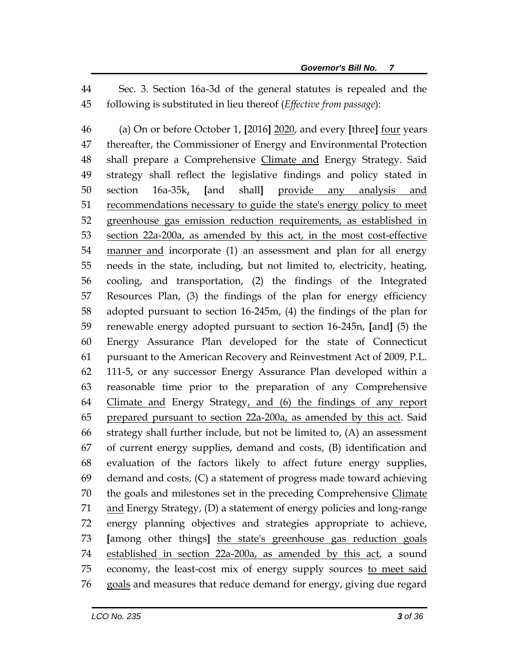Sec. 3. Section 16a-3d of the general statutes is repealed and the following is substituted in lieu thereof (*Effective from passage*):

 (a) On or before October 1, **[**2016**]** 2020, and every **[**three**]** four years thereafter, the Commissioner of Energy and Environmental Protection 48 shall prepare a Comprehensive Climate and Energy Strategy. Said strategy shall reflect the legislative findings and policy stated in section 16a-35k, **[**and shall**]** provide any analysis and recommendations necessary to guide the state's energy policy to meet greenhouse gas emission reduction requirements, as established in section 22a-200a, as amended by this act, in the most cost-effective 54 manner and incorporate (1) an assessment and plan for all energy needs in the state, including, but not limited to, electricity, heating, cooling, and transportation, (2) the findings of the Integrated Resources Plan, (3) the findings of the plan for energy efficiency adopted pursuant to section 16-245m, (4) the findings of the plan for renewable energy adopted pursuant to section 16-245n, **[**and**]** (5) the Energy Assurance Plan developed for the state of Connecticut pursuant to the American Recovery and Reinvestment Act of 2009, P.L. 111-5, or any successor Energy Assurance Plan developed within a reasonable time prior to the preparation of any Comprehensive Climate and Energy Strategy, and (6) the findings of any report prepared pursuant to section 22a-200a, as amended by this act. Said strategy shall further include, but not be limited to, (A) an assessment of current energy supplies, demand and costs, (B) identification and evaluation of the factors likely to affect future energy supplies, demand and costs, (C) a statement of progress made toward achieving 70 the goals and milestones set in the preceding Comprehensive Climate and Energy Strategy, (D) a statement of energy policies and long-range energy planning objectives and strategies appropriate to achieve, **[**among other things**]** the state's greenhouse gas reduction goals established in section 22a-200a, as amended by this act, a sound economy, the least-cost mix of energy supply sources to meet said 76 goals and measures that reduce demand for energy, giving due regard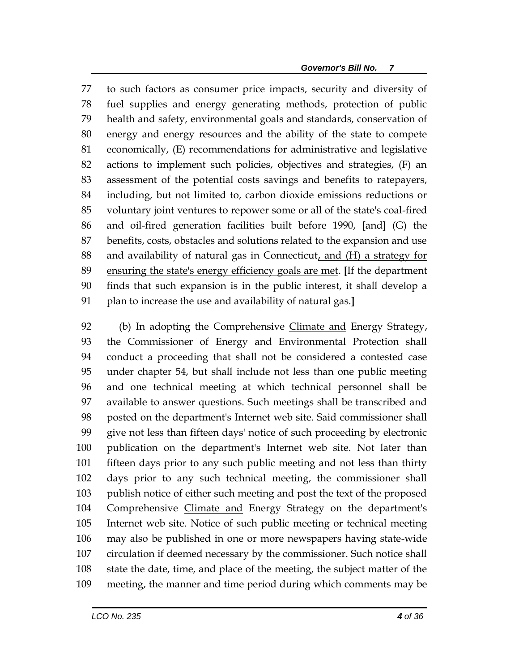to such factors as consumer price impacts, security and diversity of fuel supplies and energy generating methods, protection of public health and safety, environmental goals and standards, conservation of energy and energy resources and the ability of the state to compete economically, (E) recommendations for administrative and legislative actions to implement such policies, objectives and strategies, (F) an assessment of the potential costs savings and benefits to ratepayers, including, but not limited to, carbon dioxide emissions reductions or voluntary joint ventures to repower some or all of the state's coal-fired and oil-fired generation facilities built before 1990, **[**and**]** (G) the benefits, costs, obstacles and solutions related to the expansion and use and availability of natural gas in Connecticut, and (H) a strategy for ensuring the state's energy efficiency goals are met. **[**If the department finds that such expansion is in the public interest, it shall develop a plan to increase the use and availability of natural gas.**]**

 (b) In adopting the Comprehensive Climate and Energy Strategy, the Commissioner of Energy and Environmental Protection shall conduct a proceeding that shall not be considered a contested case under chapter 54, but shall include not less than one public meeting and one technical meeting at which technical personnel shall be available to answer questions. Such meetings shall be transcribed and posted on the department's Internet web site. Said commissioner shall give not less than fifteen days' notice of such proceeding by electronic publication on the department's Internet web site. Not later than fifteen days prior to any such public meeting and not less than thirty days prior to any such technical meeting, the commissioner shall publish notice of either such meeting and post the text of the proposed Comprehensive Climate and Energy Strategy on the department's Internet web site. Notice of such public meeting or technical meeting may also be published in one or more newspapers having state-wide circulation if deemed necessary by the commissioner. Such notice shall state the date, time, and place of the meeting, the subject matter of the meeting, the manner and time period during which comments may be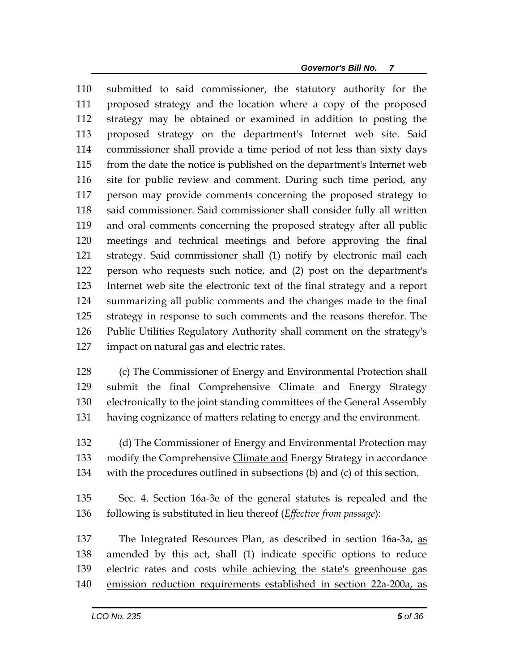submitted to said commissioner, the statutory authority for the proposed strategy and the location where a copy of the proposed strategy may be obtained or examined in addition to posting the proposed strategy on the department's Internet web site. Said commissioner shall provide a time period of not less than sixty days from the date the notice is published on the department's Internet web site for public review and comment. During such time period, any person may provide comments concerning the proposed strategy to said commissioner. Said commissioner shall consider fully all written and oral comments concerning the proposed strategy after all public meetings and technical meetings and before approving the final strategy. Said commissioner shall (1) notify by electronic mail each person who requests such notice, and (2) post on the department's Internet web site the electronic text of the final strategy and a report summarizing all public comments and the changes made to the final strategy in response to such comments and the reasons therefor. The Public Utilities Regulatory Authority shall comment on the strategy's impact on natural gas and electric rates.

 (c) The Commissioner of Energy and Environmental Protection shall submit the final Comprehensive Climate and Energy Strategy electronically to the joint standing committees of the General Assembly having cognizance of matters relating to energy and the environment.

 (d) The Commissioner of Energy and Environmental Protection may modify the Comprehensive Climate and Energy Strategy in accordance with the procedures outlined in subsections (b) and (c) of this section.

 Sec. 4. Section 16a-3e of the general statutes is repealed and the following is substituted in lieu thereof (*Effective from passage*):

 The Integrated Resources Plan, as described in section 16a-3a, as 138 amended by this act, shall (1) indicate specific options to reduce electric rates and costs while achieving the state's greenhouse gas emission reduction requirements established in section 22a-200a, as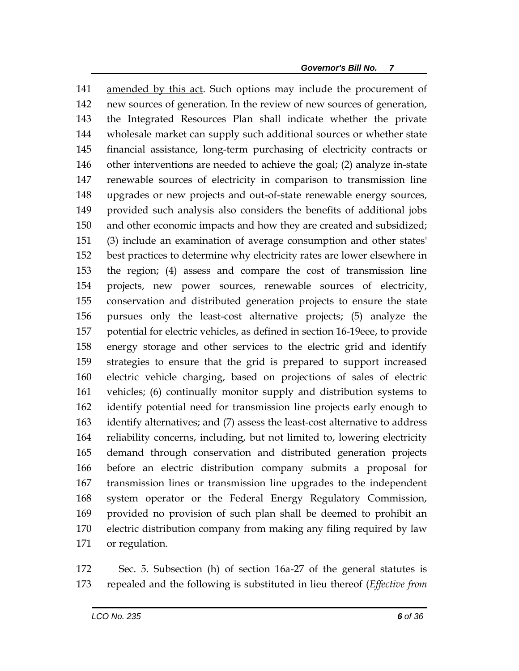amended by this act. Such options may include the procurement of new sources of generation. In the review of new sources of generation, the Integrated Resources Plan shall indicate whether the private wholesale market can supply such additional sources or whether state financial assistance, long-term purchasing of electricity contracts or other interventions are needed to achieve the goal; (2) analyze in-state renewable sources of electricity in comparison to transmission line upgrades or new projects and out-of-state renewable energy sources, provided such analysis also considers the benefits of additional jobs and other economic impacts and how they are created and subsidized; (3) include an examination of average consumption and other states' best practices to determine why electricity rates are lower elsewhere in the region; (4) assess and compare the cost of transmission line projects, new power sources, renewable sources of electricity, conservation and distributed generation projects to ensure the state pursues only the least-cost alternative projects; (5) analyze the potential for electric vehicles, as defined in section 16-19eee, to provide energy storage and other services to the electric grid and identify strategies to ensure that the grid is prepared to support increased electric vehicle charging, based on projections of sales of electric vehicles; (6) continually monitor supply and distribution systems to identify potential need for transmission line projects early enough to identify alternatives; and (7) assess the least-cost alternative to address reliability concerns, including, but not limited to, lowering electricity demand through conservation and distributed generation projects before an electric distribution company submits a proposal for transmission lines or transmission line upgrades to the independent system operator or the Federal Energy Regulatory Commission, provided no provision of such plan shall be deemed to prohibit an electric distribution company from making any filing required by law or regulation.

 Sec. 5. Subsection (h) of section 16a-27 of the general statutes is repealed and the following is substituted in lieu thereof (*Effective from*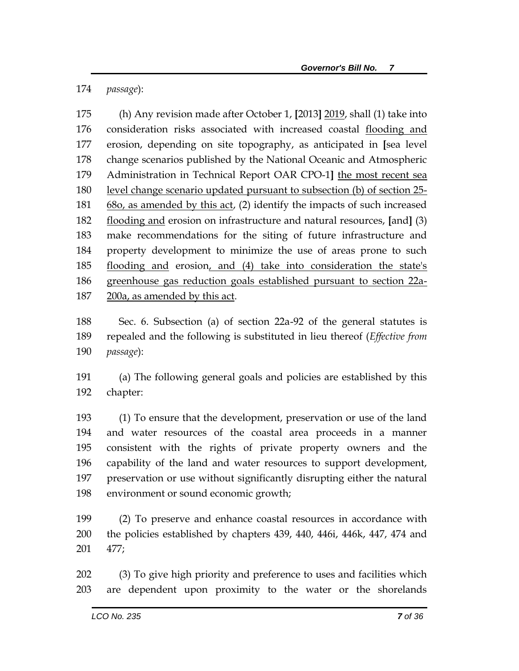*passage*):

 (h) Any revision made after October 1, **[**2013**]** 2019, shall (1) take into consideration risks associated with increased coastal flooding and erosion, depending on site topography, as anticipated in **[**sea level change scenarios published by the National Oceanic and Atmospheric Administration in Technical Report OAR CPO-1**]** the most recent sea level change scenario updated pursuant to subsection (b) of section 25- 68o, as amended by this act, (2) identify the impacts of such increased flooding and erosion on infrastructure and natural resources, **[**and**]** (3) make recommendations for the siting of future infrastructure and property development to minimize the use of areas prone to such flooding and erosion, and (4) take into consideration the state's greenhouse gas reduction goals established pursuant to section 22a-200a, as amended by this act.

 Sec. 6. Subsection (a) of section 22a-92 of the general statutes is repealed and the following is substituted in lieu thereof (*Effective from passage*):

 (a) The following general goals and policies are established by this chapter:

 (1) To ensure that the development, preservation or use of the land and water resources of the coastal area proceeds in a manner consistent with the rights of private property owners and the capability of the land and water resources to support development, preservation or use without significantly disrupting either the natural environment or sound economic growth;

 (2) To preserve and enhance coastal resources in accordance with the policies established by chapters 439, 440, 446i, 446k, 447, 474 and 477;

 (3) To give high priority and preference to uses and facilities which are dependent upon proximity to the water or the shorelands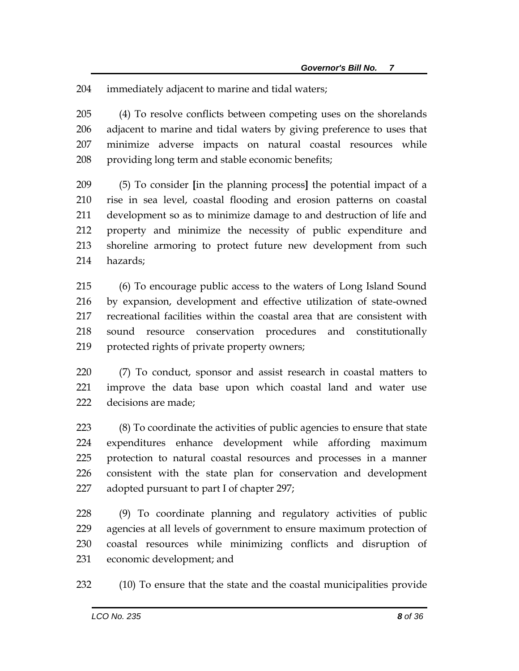immediately adjacent to marine and tidal waters;

 (4) To resolve conflicts between competing uses on the shorelands adjacent to marine and tidal waters by giving preference to uses that minimize adverse impacts on natural coastal resources while providing long term and stable economic benefits;

 (5) To consider **[**in the planning process**]** the potential impact of a rise in sea level, coastal flooding and erosion patterns on coastal development so as to minimize damage to and destruction of life and property and minimize the necessity of public expenditure and shoreline armoring to protect future new development from such hazards;

 (6) To encourage public access to the waters of Long Island Sound by expansion, development and effective utilization of state-owned recreational facilities within the coastal area that are consistent with sound resource conservation procedures and constitutionally protected rights of private property owners;

 (7) To conduct, sponsor and assist research in coastal matters to improve the data base upon which coastal land and water use decisions are made;

 (8) To coordinate the activities of public agencies to ensure that state expenditures enhance development while affording maximum protection to natural coastal resources and processes in a manner consistent with the state plan for conservation and development adopted pursuant to part I of chapter 297;

 (9) To coordinate planning and regulatory activities of public agencies at all levels of government to ensure maximum protection of coastal resources while minimizing conflicts and disruption of economic development; and

(10) To ensure that the state and the coastal municipalities provide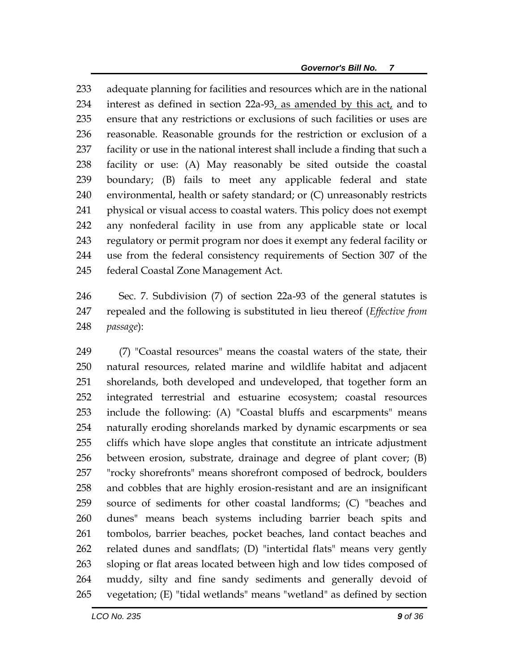adequate planning for facilities and resources which are in the national interest as defined in section 22a-93, as amended by this act, and to ensure that any restrictions or exclusions of such facilities or uses are reasonable. Reasonable grounds for the restriction or exclusion of a facility or use in the national interest shall include a finding that such a facility or use: (A) May reasonably be sited outside the coastal boundary; (B) fails to meet any applicable federal and state environmental, health or safety standard; or (C) unreasonably restricts physical or visual access to coastal waters. This policy does not exempt any nonfederal facility in use from any applicable state or local regulatory or permit program nor does it exempt any federal facility or use from the federal consistency requirements of Section 307 of the federal Coastal Zone Management Act.

 Sec. 7. Subdivision (7) of section 22a-93 of the general statutes is repealed and the following is substituted in lieu thereof (*Effective from passage*):

 (7) "Coastal resources" means the coastal waters of the state, their natural resources, related marine and wildlife habitat and adjacent shorelands, both developed and undeveloped, that together form an integrated terrestrial and estuarine ecosystem; coastal resources include the following: (A) "Coastal bluffs and escarpments" means naturally eroding shorelands marked by dynamic escarpments or sea cliffs which have slope angles that constitute an intricate adjustment between erosion, substrate, drainage and degree of plant cover; (B) "rocky shorefronts" means shorefront composed of bedrock, boulders and cobbles that are highly erosion-resistant and are an insignificant source of sediments for other coastal landforms; (C) "beaches and dunes" means beach systems including barrier beach spits and tombolos, barrier beaches, pocket beaches, land contact beaches and related dunes and sandflats; (D) "intertidal flats" means very gently sloping or flat areas located between high and low tides composed of muddy, silty and fine sandy sediments and generally devoid of vegetation; (E) "tidal wetlands" means "wetland" as defined by section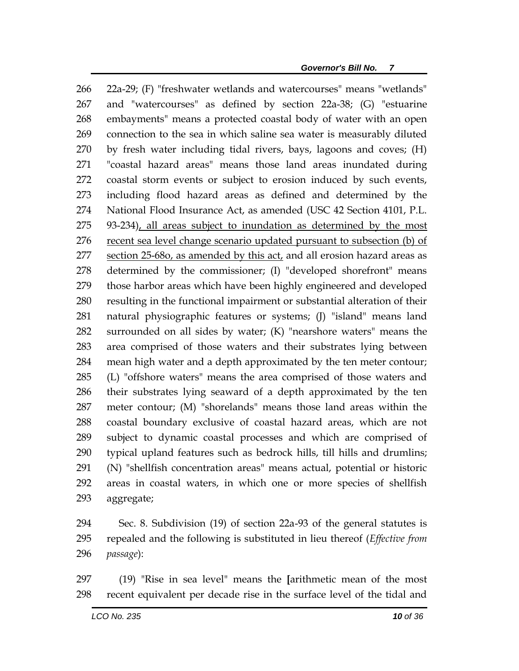22a-29; (F) "freshwater wetlands and watercourses" means "wetlands" and "watercourses" as defined by section 22a-38; (G) "estuarine embayments" means a protected coastal body of water with an open connection to the sea in which saline sea water is measurably diluted by fresh water including tidal rivers, bays, lagoons and coves; (H) "coastal hazard areas" means those land areas inundated during coastal storm events or subject to erosion induced by such events, including flood hazard areas as defined and determined by the National Flood Insurance Act, as amended (USC 42 Section 4101, P.L. 93-234), all areas subject to inundation as determined by the most recent sea level change scenario updated pursuant to subsection (b) of 277 section  $25-68$ o, as amended by this act, and all erosion hazard areas as determined by the commissioner; (I) "developed shorefront" means those harbor areas which have been highly engineered and developed resulting in the functional impairment or substantial alteration of their natural physiographic features or systems; (J) "island" means land surrounded on all sides by water; (K) "nearshore waters" means the area comprised of those waters and their substrates lying between mean high water and a depth approximated by the ten meter contour; (L) "offshore waters" means the area comprised of those waters and their substrates lying seaward of a depth approximated by the ten meter contour; (M) "shorelands" means those land areas within the coastal boundary exclusive of coastal hazard areas, which are not subject to dynamic coastal processes and which are comprised of typical upland features such as bedrock hills, till hills and drumlins; (N) "shellfish concentration areas" means actual, potential or historic areas in coastal waters, in which one or more species of shellfish aggregate;

 Sec. 8. Subdivision (19) of section 22a-93 of the general statutes is repealed and the following is substituted in lieu thereof (*Effective from passage*):

 (19) "Rise in sea level" means the **[**arithmetic mean of the most recent equivalent per decade rise in the surface level of the tidal and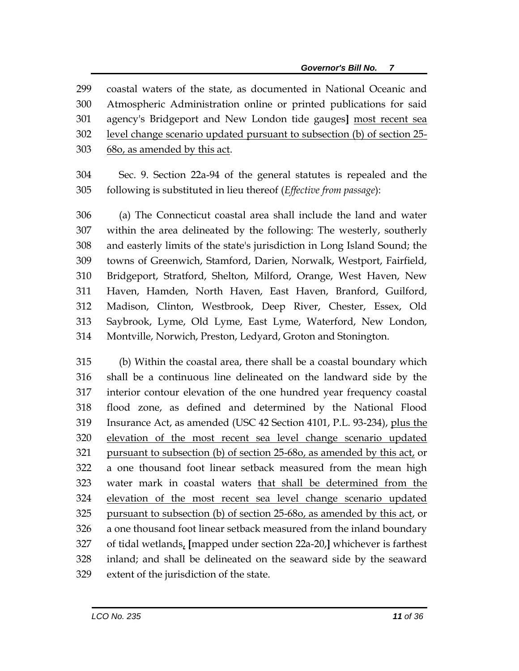coastal waters of the state, as documented in National Oceanic and Atmospheric Administration online or printed publications for said agency's Bridgeport and New London tide gauges**]** most recent sea 302 level change scenario updated pursuant to subsection (b) of section 25-68o, as amended by this act.

 Sec. 9. Section 22a-94 of the general statutes is repealed and the following is substituted in lieu thereof (*Effective from passage*):

 (a) The Connecticut coastal area shall include the land and water within the area delineated by the following: The westerly, southerly and easterly limits of the state's jurisdiction in Long Island Sound; the towns of Greenwich, Stamford, Darien, Norwalk, Westport, Fairfield, Bridgeport, Stratford, Shelton, Milford, Orange, West Haven, New Haven, Hamden, North Haven, East Haven, Branford, Guilford, Madison, Clinton, Westbrook, Deep River, Chester, Essex, Old Saybrook, Lyme, Old Lyme, East Lyme, Waterford, New London, Montville, Norwich, Preston, Ledyard, Groton and Stonington.

 (b) Within the coastal area, there shall be a coastal boundary which shall be a continuous line delineated on the landward side by the interior contour elevation of the one hundred year frequency coastal flood zone, as defined and determined by the National Flood Insurance Act, as amended (USC 42 Section 4101, P.L. 93-234), plus the elevation of the most recent sea level change scenario updated pursuant to subsection (b) of section 25-68o, as amended by this act, or a one thousand foot linear setback measured from the mean high water mark in coastal waters that shall be determined from the elevation of the most recent sea level change scenario updated pursuant to subsection (b) of section 25-68o, as amended by this act, or a one thousand foot linear setback measured from the inland boundary of tidal wetlands, **[**mapped under section 22a-20,**]** whichever is farthest inland; and shall be delineated on the seaward side by the seaward extent of the jurisdiction of the state.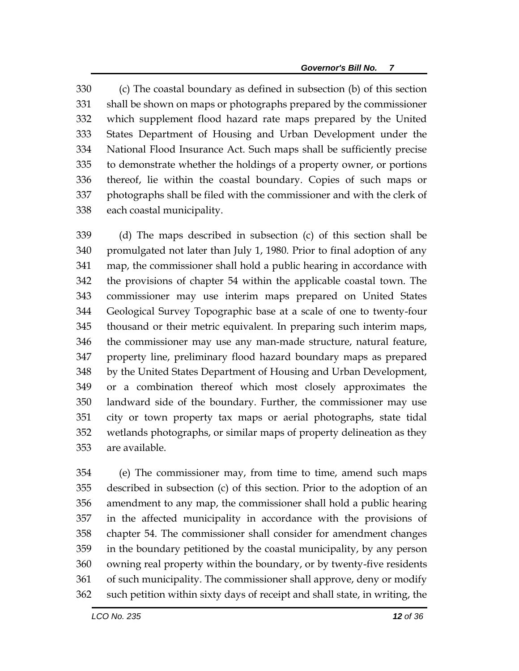(c) The coastal boundary as defined in subsection (b) of this section shall be shown on maps or photographs prepared by the commissioner which supplement flood hazard rate maps prepared by the United States Department of Housing and Urban Development under the National Flood Insurance Act. Such maps shall be sufficiently precise to demonstrate whether the holdings of a property owner, or portions thereof, lie within the coastal boundary. Copies of such maps or photographs shall be filed with the commissioner and with the clerk of each coastal municipality.

 (d) The maps described in subsection (c) of this section shall be promulgated not later than July 1, 1980. Prior to final adoption of any map, the commissioner shall hold a public hearing in accordance with the provisions of chapter 54 within the applicable coastal town. The commissioner may use interim maps prepared on United States Geological Survey Topographic base at a scale of one to twenty-four thousand or their metric equivalent. In preparing such interim maps, the commissioner may use any man-made structure, natural feature, property line, preliminary flood hazard boundary maps as prepared by the United States Department of Housing and Urban Development, or a combination thereof which most closely approximates the landward side of the boundary. Further, the commissioner may use city or town property tax maps or aerial photographs, state tidal wetlands photographs, or similar maps of property delineation as they are available.

 (e) The commissioner may, from time to time, amend such maps described in subsection (c) of this section. Prior to the adoption of an amendment to any map, the commissioner shall hold a public hearing in the affected municipality in accordance with the provisions of chapter 54. The commissioner shall consider for amendment changes in the boundary petitioned by the coastal municipality, by any person owning real property within the boundary, or by twenty-five residents of such municipality. The commissioner shall approve, deny or modify such petition within sixty days of receipt and shall state, in writing, the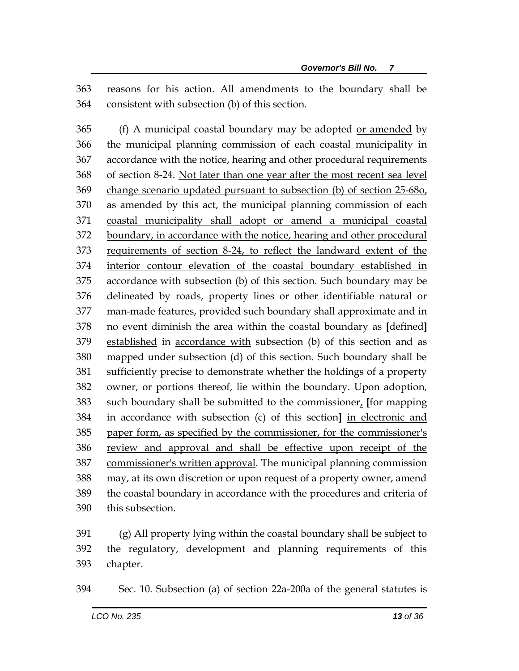reasons for his action. All amendments to the boundary shall be consistent with subsection (b) of this section.

365 (f) A municipal coastal boundary may be adopted <u>or amended</u> by the municipal planning commission of each coastal municipality in accordance with the notice, hearing and other procedural requirements of section 8-24. Not later than one year after the most recent sea level 369 change scenario updated pursuant to subsection (b) of section 25-680, as amended by this act, the municipal planning commission of each coastal municipality shall adopt or amend a municipal coastal boundary, in accordance with the notice, hearing and other procedural requirements of section 8-24, to reflect the landward extent of the interior contour elevation of the coastal boundary established in accordance with subsection (b) of this section. Such boundary may be delineated by roads, property lines or other identifiable natural or man-made features, provided such boundary shall approximate and in no event diminish the area within the coastal boundary as **[**defined**]** established in accordance with subsection (b) of this section and as mapped under subsection (d) of this section. Such boundary shall be sufficiently precise to demonstrate whether the holdings of a property owner, or portions thereof, lie within the boundary. Upon adoption, such boundary shall be submitted to the commissioner, **[**for mapping in accordance with subsection (c) of this section**]** in electronic and paper form, as specified by the commissioner, for the commissioner's review and approval and shall be effective upon receipt of the commissioner's written approval. The municipal planning commission may, at its own discretion or upon request of a property owner, amend the coastal boundary in accordance with the procedures and criteria of this subsection.

 (g) All property lying within the coastal boundary shall be subject to the regulatory, development and planning requirements of this chapter.

Sec. 10. Subsection (a) of section 22a-200a of the general statutes is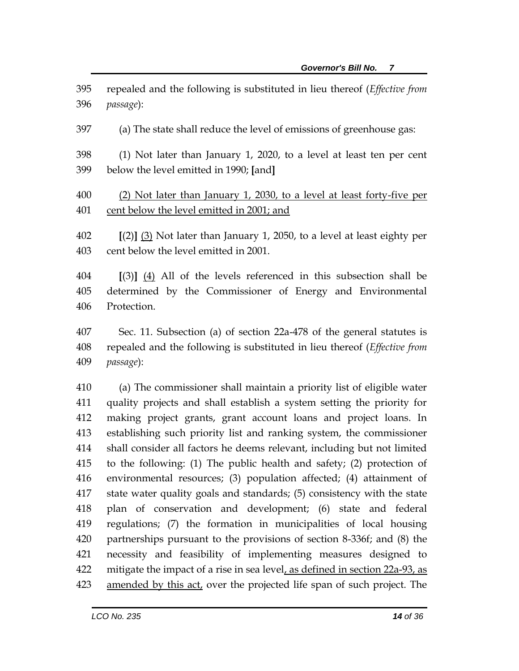- repealed and the following is substituted in lieu thereof (*Effective from passage*):
- (a) The state shall reduce the level of emissions of greenhouse gas:
- (1) Not later than January 1, 2020, to a level at least ten per cent below the level emitted in 1990; **[**and**]**
- (2) Not later than January 1, 2030, to a level at least forty-five per cent below the level emitted in 2001; and
- **[**(2)**]** (3) Not later than January 1, 2050, to a level at least eighty per cent below the level emitted in 2001.
- **[**(3)**]** (4) All of the levels referenced in this subsection shall be determined by the Commissioner of Energy and Environmental Protection.
- Sec. 11. Subsection (a) of section 22a-478 of the general statutes is repealed and the following is substituted in lieu thereof (*Effective from passage*):

 (a) The commissioner shall maintain a priority list of eligible water quality projects and shall establish a system setting the priority for making project grants, grant account loans and project loans. In establishing such priority list and ranking system, the commissioner shall consider all factors he deems relevant, including but not limited to the following: (1) The public health and safety; (2) protection of environmental resources; (3) population affected; (4) attainment of state water quality goals and standards; (5) consistency with the state plan of conservation and development; (6) state and federal regulations; (7) the formation in municipalities of local housing partnerships pursuant to the provisions of section 8-336f; and (8) the necessity and feasibility of implementing measures designed to mitigate the impact of a rise in sea level, as defined in section 22a-93, as 423 amended by this act, over the projected life span of such project. The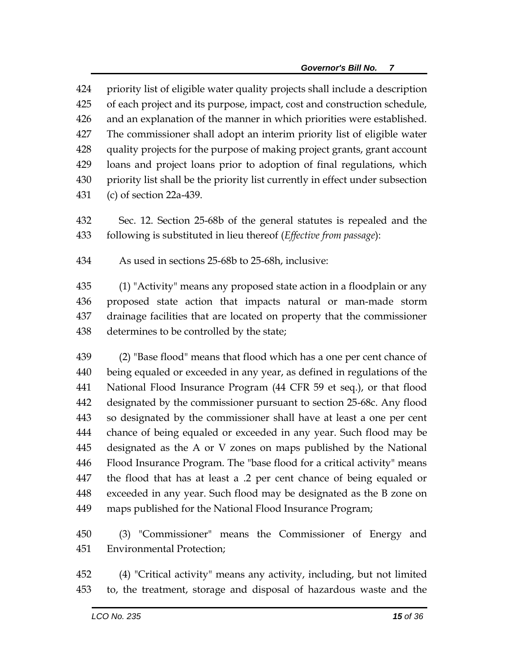priority list of eligible water quality projects shall include a description of each project and its purpose, impact, cost and construction schedule, and an explanation of the manner in which priorities were established. The commissioner shall adopt an interim priority list of eligible water quality projects for the purpose of making project grants, grant account loans and project loans prior to adoption of final regulations, which priority list shall be the priority list currently in effect under subsection (c) of section 22a-439.

- Sec. 12. Section 25-68b of the general statutes is repealed and the following is substituted in lieu thereof (*Effective from passage*):
- As used in sections 25-68b to 25-68h, inclusive:

 (1) "Activity" means any proposed state action in a floodplain or any proposed state action that impacts natural or man-made storm drainage facilities that are located on property that the commissioner determines to be controlled by the state;

 (2) "Base flood" means that flood which has a one per cent chance of being equaled or exceeded in any year, as defined in regulations of the National Flood Insurance Program (44 CFR 59 et seq.), or that flood designated by the commissioner pursuant to section 25-68c. Any flood so designated by the commissioner shall have at least a one per cent chance of being equaled or exceeded in any year. Such flood may be designated as the A or V zones on maps published by the National Flood Insurance Program. The "base flood for a critical activity" means the flood that has at least a .2 per cent chance of being equaled or exceeded in any year. Such flood may be designated as the B zone on maps published for the National Flood Insurance Program;

 (3) "Commissioner" means the Commissioner of Energy and Environmental Protection;

 (4) "Critical activity" means any activity, including, but not limited to, the treatment, storage and disposal of hazardous waste and the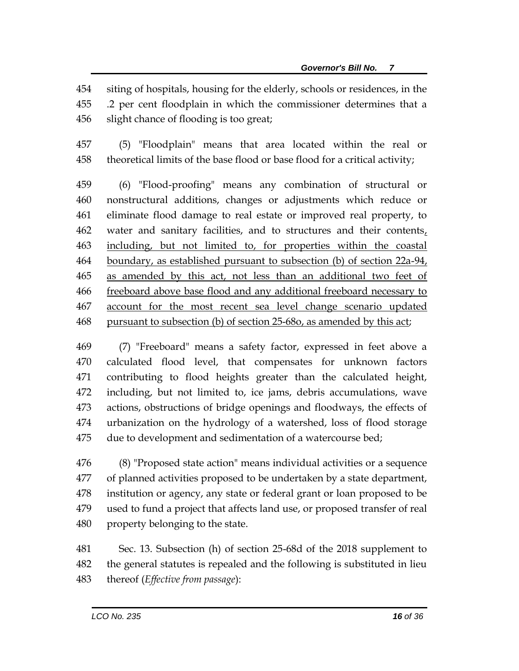siting of hospitals, housing for the elderly, schools or residences, in the .2 per cent floodplain in which the commissioner determines that a slight chance of flooding is too great;

 (5) "Floodplain" means that area located within the real or theoretical limits of the base flood or base flood for a critical activity;

 (6) "Flood-proofing" means any combination of structural or nonstructural additions, changes or adjustments which reduce or eliminate flood damage to real estate or improved real property, to water and sanitary facilities, and to structures and their contents, including, but not limited to, for properties within the coastal boundary, as established pursuant to subsection (b) of section 22a-94, as amended by this act, not less than an additional two feet of freeboard above base flood and any additional freeboard necessary to account for the most recent sea level change scenario updated pursuant to subsection (b) of section 25-68o, as amended by this act;

 (7) "Freeboard" means a safety factor, expressed in feet above a calculated flood level, that compensates for unknown factors contributing to flood heights greater than the calculated height, including, but not limited to, ice jams, debris accumulations, wave actions, obstructions of bridge openings and floodways, the effects of urbanization on the hydrology of a watershed, loss of flood storage due to development and sedimentation of a watercourse bed;

 (8) "Proposed state action" means individual activities or a sequence of planned activities proposed to be undertaken by a state department, institution or agency, any state or federal grant or loan proposed to be used to fund a project that affects land use, or proposed transfer of real property belonging to the state.

 Sec. 13. Subsection (h) of section 25-68d of the 2018 supplement to the general statutes is repealed and the following is substituted in lieu thereof (*Effective from passage*):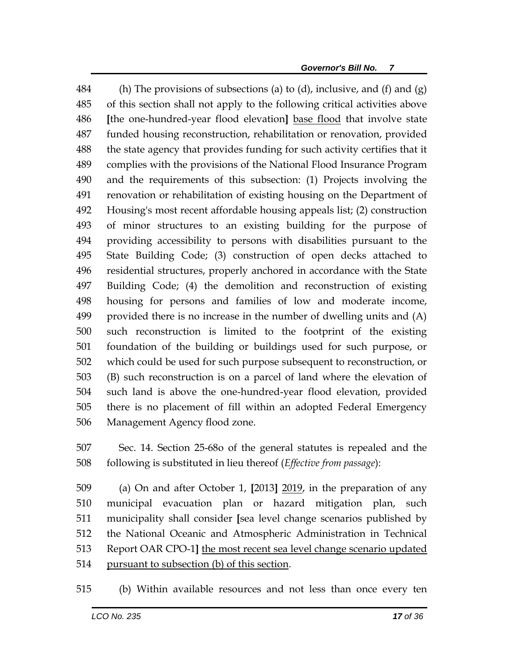484 (h) The provisions of subsections (a) to (d), inclusive, and (f) and (g) of this section shall not apply to the following critical activities above **[**the one-hundred-year flood elevation**]** base flood that involve state funded housing reconstruction, rehabilitation or renovation, provided the state agency that provides funding for such activity certifies that it complies with the provisions of the National Flood Insurance Program and the requirements of this subsection: (1) Projects involving the renovation or rehabilitation of existing housing on the Department of Housing's most recent affordable housing appeals list; (2) construction of minor structures to an existing building for the purpose of providing accessibility to persons with disabilities pursuant to the State Building Code; (3) construction of open decks attached to residential structures, properly anchored in accordance with the State Building Code; (4) the demolition and reconstruction of existing housing for persons and families of low and moderate income, provided there is no increase in the number of dwelling units and (A) such reconstruction is limited to the footprint of the existing foundation of the building or buildings used for such purpose, or which could be used for such purpose subsequent to reconstruction, or (B) such reconstruction is on a parcel of land where the elevation of such land is above the one-hundred-year flood elevation, provided there is no placement of fill within an adopted Federal Emergency Management Agency flood zone.

 Sec. 14. Section 25-68o of the general statutes is repealed and the following is substituted in lieu thereof (*Effective from passage*):

 (a) On and after October 1, **[**2013**]** 2019, in the preparation of any municipal evacuation plan or hazard mitigation plan, such municipality shall consider **[**sea level change scenarios published by the National Oceanic and Atmospheric Administration in Technical Report OAR CPO-1**]** the most recent sea level change scenario updated pursuant to subsection (b) of this section.

(b) Within available resources and not less than once every ten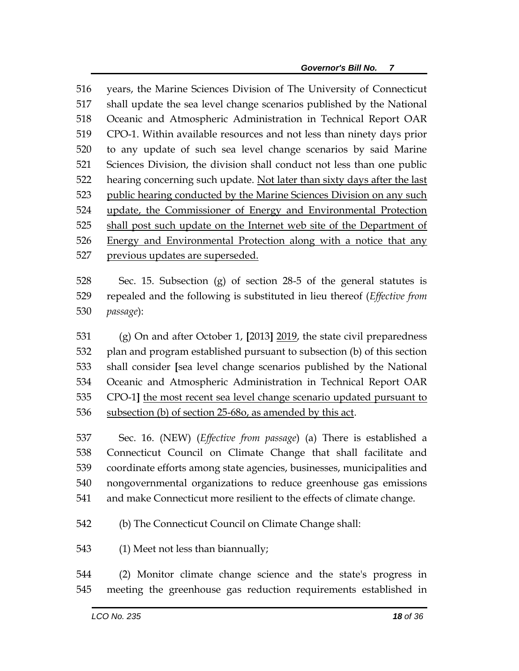years, the Marine Sciences Division of The University of Connecticut shall update the sea level change scenarios published by the National Oceanic and Atmospheric Administration in Technical Report OAR CPO-1. Within available resources and not less than ninety days prior to any update of such sea level change scenarios by said Marine Sciences Division, the division shall conduct not less than one public 522 hearing concerning such update. Not later than sixty days after the last 523 public hearing conducted by the Marine Sciences Division on any such update, the Commissioner of Energy and Environmental Protection shall post such update on the Internet web site of the Department of Energy and Environmental Protection along with a notice that any previous updates are superseded.

 Sec. 15. Subsection (g) of section 28-5 of the general statutes is repealed and the following is substituted in lieu thereof (*Effective from passage*):

 (g) On and after October 1, **[**2013**]** 2019, the state civil preparedness plan and program established pursuant to subsection (b) of this section shall consider **[**sea level change scenarios published by the National Oceanic and Atmospheric Administration in Technical Report OAR CPO-1**]** the most recent sea level change scenario updated pursuant to subsection (b) of section 25-68o, as amended by this act.

 Sec. 16. (NEW) (*Effective from passage*) (a) There is established a Connecticut Council on Climate Change that shall facilitate and coordinate efforts among state agencies, businesses, municipalities and nongovernmental organizations to reduce greenhouse gas emissions and make Connecticut more resilient to the effects of climate change.

(b) The Connecticut Council on Climate Change shall:

(1) Meet not less than biannually;

 (2) Monitor climate change science and the state's progress in meeting the greenhouse gas reduction requirements established in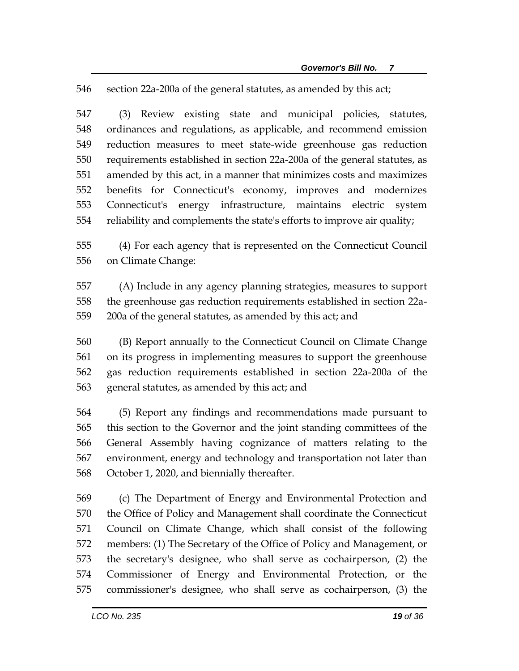section 22a-200a of the general statutes, as amended by this act;

 (3) Review existing state and municipal policies, statutes, ordinances and regulations, as applicable, and recommend emission reduction measures to meet state-wide greenhouse gas reduction requirements established in section 22a-200a of the general statutes, as amended by this act, in a manner that minimizes costs and maximizes benefits for Connecticut's economy, improves and modernizes Connecticut's energy infrastructure, maintains electric system reliability and complements the state's efforts to improve air quality;

 (4) For each agency that is represented on the Connecticut Council on Climate Change:

 (A) Include in any agency planning strategies, measures to support the greenhouse gas reduction requirements established in section 22a-200a of the general statutes, as amended by this act; and

 (B) Report annually to the Connecticut Council on Climate Change on its progress in implementing measures to support the greenhouse gas reduction requirements established in section 22a-200a of the general statutes, as amended by this act; and

 (5) Report any findings and recommendations made pursuant to this section to the Governor and the joint standing committees of the General Assembly having cognizance of matters relating to the environment, energy and technology and transportation not later than October 1, 2020, and biennially thereafter.

 (c) The Department of Energy and Environmental Protection and the Office of Policy and Management shall coordinate the Connecticut Council on Climate Change, which shall consist of the following members: (1) The Secretary of the Office of Policy and Management, or the secretary's designee, who shall serve as cochairperson, (2) the Commissioner of Energy and Environmental Protection, or the commissioner's designee, who shall serve as cochairperson, (3) the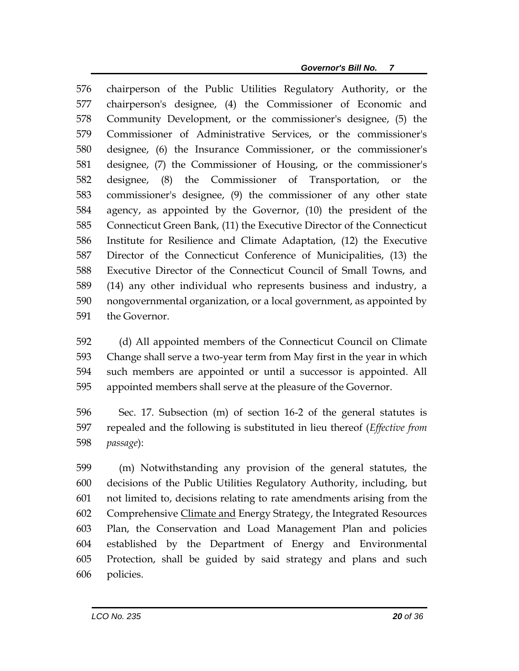chairperson of the Public Utilities Regulatory Authority, or the chairperson's designee, (4) the Commissioner of Economic and Community Development, or the commissioner's designee, (5) the Commissioner of Administrative Services, or the commissioner's designee, (6) the Insurance Commissioner, or the commissioner's designee, (7) the Commissioner of Housing, or the commissioner's designee, (8) the Commissioner of Transportation, or the commissioner's designee, (9) the commissioner of any other state agency, as appointed by the Governor, (10) the president of the Connecticut Green Bank, (11) the Executive Director of the Connecticut Institute for Resilience and Climate Adaptation, (12) the Executive Director of the Connecticut Conference of Municipalities, (13) the Executive Director of the Connecticut Council of Small Towns, and (14) any other individual who represents business and industry, a nongovernmental organization, or a local government, as appointed by the Governor.

 (d) All appointed members of the Connecticut Council on Climate Change shall serve a two-year term from May first in the year in which such members are appointed or until a successor is appointed. All appointed members shall serve at the pleasure of the Governor.

 Sec. 17. Subsection (m) of section 16-2 of the general statutes is repealed and the following is substituted in lieu thereof (*Effective from passage*):

 (m) Notwithstanding any provision of the general statutes, the decisions of the Public Utilities Regulatory Authority, including, but not limited to, decisions relating to rate amendments arising from the Comprehensive Climate and Energy Strategy, the Integrated Resources Plan, the Conservation and Load Management Plan and policies established by the Department of Energy and Environmental Protection, shall be guided by said strategy and plans and such policies.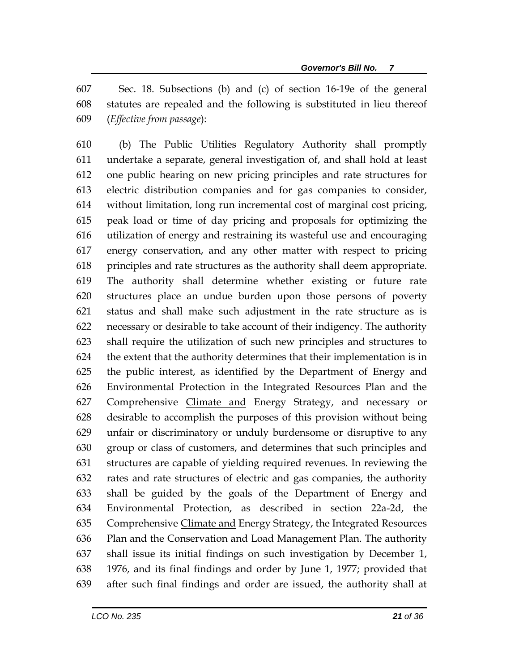Sec. 18. Subsections (b) and (c) of section 16-19e of the general statutes are repealed and the following is substituted in lieu thereof (*Effective from passage*):

 (b) The Public Utilities Regulatory Authority shall promptly undertake a separate, general investigation of, and shall hold at least one public hearing on new pricing principles and rate structures for electric distribution companies and for gas companies to consider, without limitation, long run incremental cost of marginal cost pricing, peak load or time of day pricing and proposals for optimizing the utilization of energy and restraining its wasteful use and encouraging energy conservation, and any other matter with respect to pricing principles and rate structures as the authority shall deem appropriate. The authority shall determine whether existing or future rate structures place an undue burden upon those persons of poverty status and shall make such adjustment in the rate structure as is necessary or desirable to take account of their indigency. The authority shall require the utilization of such new principles and structures to the extent that the authority determines that their implementation is in the public interest, as identified by the Department of Energy and Environmental Protection in the Integrated Resources Plan and the Comprehensive Climate and Energy Strategy, and necessary or desirable to accomplish the purposes of this provision without being unfair or discriminatory or unduly burdensome or disruptive to any group or class of customers, and determines that such principles and structures are capable of yielding required revenues. In reviewing the rates and rate structures of electric and gas companies, the authority shall be guided by the goals of the Department of Energy and Environmental Protection, as described in section 22a-2d, the 635 Comprehensive Climate and Energy Strategy, the Integrated Resources Plan and the Conservation and Load Management Plan. The authority shall issue its initial findings on such investigation by December 1, 1976, and its final findings and order by June 1, 1977; provided that after such final findings and order are issued, the authority shall at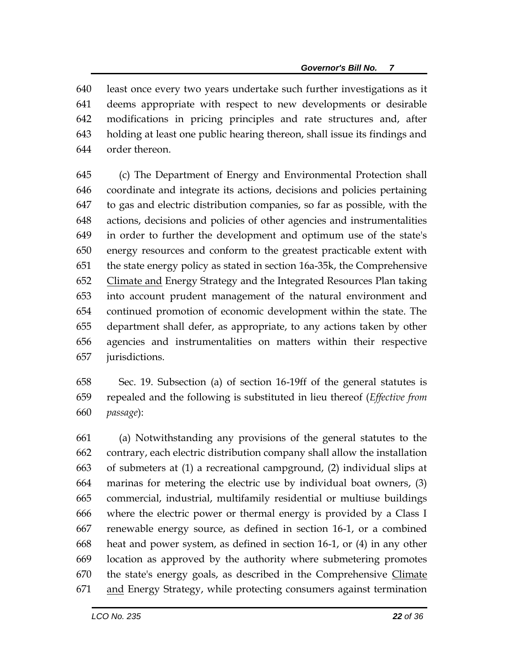least once every two years undertake such further investigations as it deems appropriate with respect to new developments or desirable modifications in pricing principles and rate structures and, after holding at least one public hearing thereon, shall issue its findings and order thereon.

 (c) The Department of Energy and Environmental Protection shall coordinate and integrate its actions, decisions and policies pertaining to gas and electric distribution companies, so far as possible, with the actions, decisions and policies of other agencies and instrumentalities in order to further the development and optimum use of the state's energy resources and conform to the greatest practicable extent with the state energy policy as stated in section 16a-35k, the Comprehensive Climate and Energy Strategy and the Integrated Resources Plan taking into account prudent management of the natural environment and continued promotion of economic development within the state. The department shall defer, as appropriate, to any actions taken by other agencies and instrumentalities on matters within their respective jurisdictions.

 Sec. 19. Subsection (a) of section 16-19ff of the general statutes is repealed and the following is substituted in lieu thereof (*Effective from passage*):

 (a) Notwithstanding any provisions of the general statutes to the contrary, each electric distribution company shall allow the installation of submeters at (1) a recreational campground, (2) individual slips at marinas for metering the electric use by individual boat owners, (3) commercial, industrial, multifamily residential or multiuse buildings where the electric power or thermal energy is provided by a Class I renewable energy source, as defined in section 16-1, or a combined heat and power system, as defined in section 16-1, or (4) in any other location as approved by the authority where submetering promotes the state's energy goals, as described in the Comprehensive Climate 671 and Energy Strategy, while protecting consumers against termination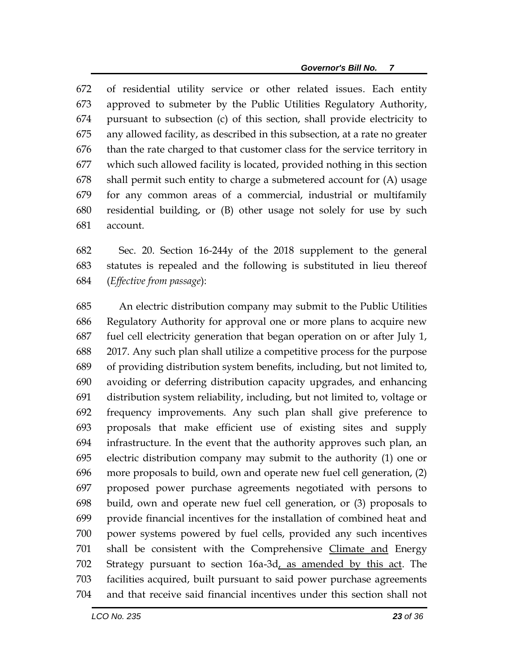of residential utility service or other related issues. Each entity approved to submeter by the Public Utilities Regulatory Authority, pursuant to subsection (c) of this section, shall provide electricity to any allowed facility, as described in this subsection, at a rate no greater than the rate charged to that customer class for the service territory in which such allowed facility is located, provided nothing in this section shall permit such entity to charge a submetered account for (A) usage for any common areas of a commercial, industrial or multifamily residential building, or (B) other usage not solely for use by such account.

 Sec. 20. Section 16-244y of the 2018 supplement to the general statutes is repealed and the following is substituted in lieu thereof (*Effective from passage*):

 An electric distribution company may submit to the Public Utilities Regulatory Authority for approval one or more plans to acquire new fuel cell electricity generation that began operation on or after July 1, 2017. Any such plan shall utilize a competitive process for the purpose of providing distribution system benefits, including, but not limited to, avoiding or deferring distribution capacity upgrades, and enhancing distribution system reliability, including, but not limited to, voltage or frequency improvements. Any such plan shall give preference to proposals that make efficient use of existing sites and supply infrastructure. In the event that the authority approves such plan, an electric distribution company may submit to the authority (1) one or more proposals to build, own and operate new fuel cell generation, (2) proposed power purchase agreements negotiated with persons to build, own and operate new fuel cell generation, or (3) proposals to provide financial incentives for the installation of combined heat and power systems powered by fuel cells, provided any such incentives 701 shall be consistent with the Comprehensive Climate and Energy Strategy pursuant to section 16a-3d, as amended by this act. The facilities acquired, built pursuant to said power purchase agreements and that receive said financial incentives under this section shall not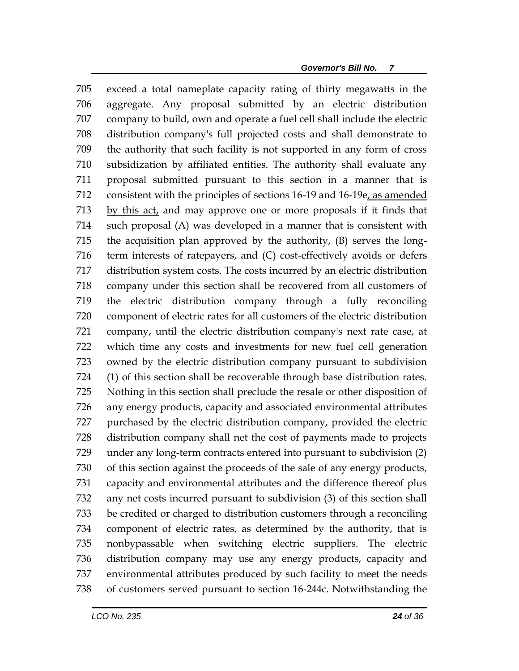exceed a total nameplate capacity rating of thirty megawatts in the aggregate. Any proposal submitted by an electric distribution company to build, own and operate a fuel cell shall include the electric distribution company's full projected costs and shall demonstrate to the authority that such facility is not supported in any form of cross subsidization by affiliated entities. The authority shall evaluate any proposal submitted pursuant to this section in a manner that is 712 consistent with the principles of sections 16-19 and 16-19e, as amended by this act, and may approve one or more proposals if it finds that such proposal (A) was developed in a manner that is consistent with the acquisition plan approved by the authority, (B) serves the long- term interests of ratepayers, and (C) cost-effectively avoids or defers distribution system costs. The costs incurred by an electric distribution company under this section shall be recovered from all customers of the electric distribution company through a fully reconciling component of electric rates for all customers of the electric distribution company, until the electric distribution company's next rate case, at which time any costs and investments for new fuel cell generation owned by the electric distribution company pursuant to subdivision (1) of this section shall be recoverable through base distribution rates. Nothing in this section shall preclude the resale or other disposition of any energy products, capacity and associated environmental attributes purchased by the electric distribution company, provided the electric distribution company shall net the cost of payments made to projects under any long-term contracts entered into pursuant to subdivision (2) of this section against the proceeds of the sale of any energy products, capacity and environmental attributes and the difference thereof plus any net costs incurred pursuant to subdivision (3) of this section shall be credited or charged to distribution customers through a reconciling component of electric rates, as determined by the authority, that is nonbypassable when switching electric suppliers. The electric distribution company may use any energy products, capacity and environmental attributes produced by such facility to meet the needs of customers served pursuant to section 16-244c. Notwithstanding the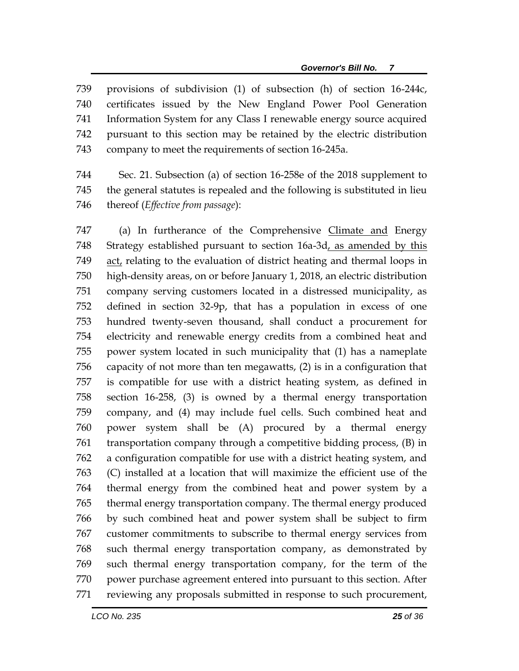provisions of subdivision (1) of subsection (h) of section 16-244c, certificates issued by the New England Power Pool Generation Information System for any Class I renewable energy source acquired pursuant to this section may be retained by the electric distribution company to meet the requirements of section 16-245a.

 Sec. 21. Subsection (a) of section 16-258e of the 2018 supplement to the general statutes is repealed and the following is substituted in lieu thereof (*Effective from passage*):

747 (a) In furtherance of the Comprehensive Climate and Energy Strategy established pursuant to section 16a-3d, as amended by this act, relating to the evaluation of district heating and thermal loops in high-density areas, on or before January 1, 2018, an electric distribution company serving customers located in a distressed municipality, as defined in section 32-9p, that has a population in excess of one hundred twenty-seven thousand, shall conduct a procurement for electricity and renewable energy credits from a combined heat and power system located in such municipality that (1) has a nameplate capacity of not more than ten megawatts, (2) is in a configuration that is compatible for use with a district heating system, as defined in section 16-258, (3) is owned by a thermal energy transportation company, and (4) may include fuel cells. Such combined heat and power system shall be (A) procured by a thermal energy transportation company through a competitive bidding process, (B) in a configuration compatible for use with a district heating system, and (C) installed at a location that will maximize the efficient use of the thermal energy from the combined heat and power system by a thermal energy transportation company. The thermal energy produced by such combined heat and power system shall be subject to firm customer commitments to subscribe to thermal energy services from such thermal energy transportation company, as demonstrated by such thermal energy transportation company, for the term of the power purchase agreement entered into pursuant to this section. After reviewing any proposals submitted in response to such procurement,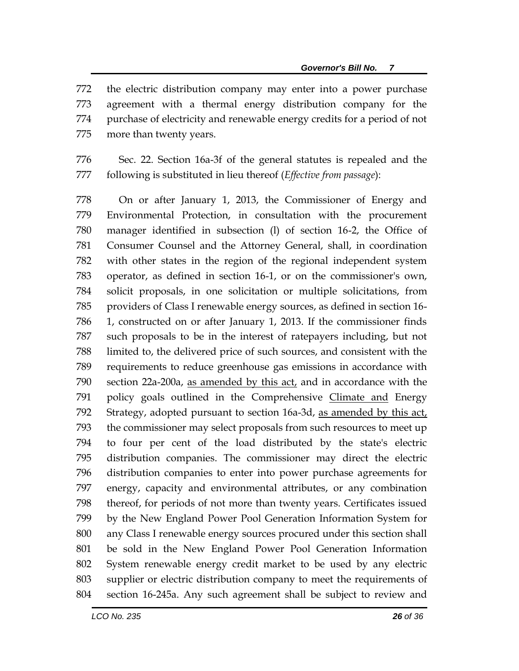the electric distribution company may enter into a power purchase agreement with a thermal energy distribution company for the purchase of electricity and renewable energy credits for a period of not more than twenty years.

 Sec. 22. Section 16a-3f of the general statutes is repealed and the following is substituted in lieu thereof (*Effective from passage*):

 On or after January 1, 2013, the Commissioner of Energy and Environmental Protection, in consultation with the procurement manager identified in subsection (l) of section 16-2, the Office of Consumer Counsel and the Attorney General, shall, in coordination with other states in the region of the regional independent system operator, as defined in section 16-1, or on the commissioner's own, solicit proposals, in one solicitation or multiple solicitations, from providers of Class I renewable energy sources, as defined in section 16- 1, constructed on or after January 1, 2013. If the commissioner finds such proposals to be in the interest of ratepayers including, but not limited to, the delivered price of such sources, and consistent with the requirements to reduce greenhouse gas emissions in accordance with section 22a-200a, as amended by this act, and in accordance with the policy goals outlined in the Comprehensive Climate and Energy 792 Strategy, adopted pursuant to section 16a-3d, as amended by this act, the commissioner may select proposals from such resources to meet up to four per cent of the load distributed by the state's electric distribution companies. The commissioner may direct the electric distribution companies to enter into power purchase agreements for energy, capacity and environmental attributes, or any combination thereof, for periods of not more than twenty years. Certificates issued by the New England Power Pool Generation Information System for any Class I renewable energy sources procured under this section shall be sold in the New England Power Pool Generation Information System renewable energy credit market to be used by any electric supplier or electric distribution company to meet the requirements of section 16-245a. Any such agreement shall be subject to review and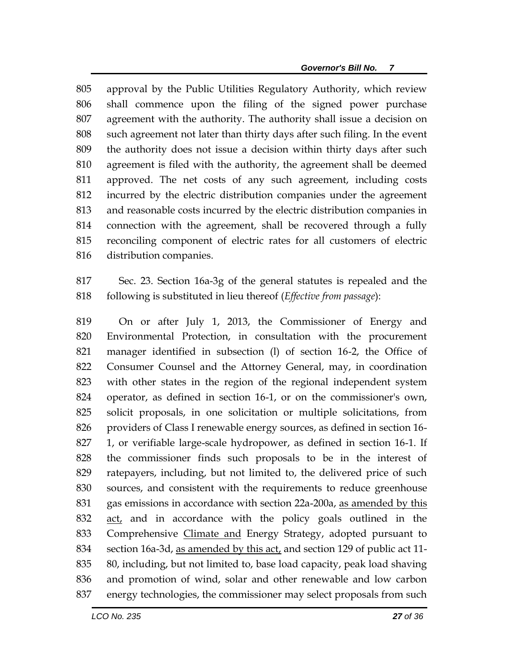approval by the Public Utilities Regulatory Authority, which review shall commence upon the filing of the signed power purchase agreement with the authority. The authority shall issue a decision on such agreement not later than thirty days after such filing. In the event the authority does not issue a decision within thirty days after such agreement is filed with the authority, the agreement shall be deemed approved. The net costs of any such agreement, including costs incurred by the electric distribution companies under the agreement and reasonable costs incurred by the electric distribution companies in connection with the agreement, shall be recovered through a fully reconciling component of electric rates for all customers of electric distribution companies.

 Sec. 23. Section 16a-3g of the general statutes is repealed and the following is substituted in lieu thereof (*Effective from passage*):

 On or after July 1, 2013, the Commissioner of Energy and Environmental Protection, in consultation with the procurement manager identified in subsection (l) of section 16-2, the Office of Consumer Counsel and the Attorney General, may, in coordination with other states in the region of the regional independent system operator, as defined in section 16-1, or on the commissioner's own, solicit proposals, in one solicitation or multiple solicitations, from providers of Class I renewable energy sources, as defined in section 16- 1, or verifiable large-scale hydropower, as defined in section 16-1. If the commissioner finds such proposals to be in the interest of ratepayers, including, but not limited to, the delivered price of such sources, and consistent with the requirements to reduce greenhouse gas emissions in accordance with section 22a-200a, as amended by this 832 act, and in accordance with the policy goals outlined in the Comprehensive Climate and Energy Strategy, adopted pursuant to 834 section 16a-3d, as amended by this act, and section 129 of public act 11- 80, including, but not limited to, base load capacity, peak load shaving and promotion of wind, solar and other renewable and low carbon energy technologies, the commissioner may select proposals from such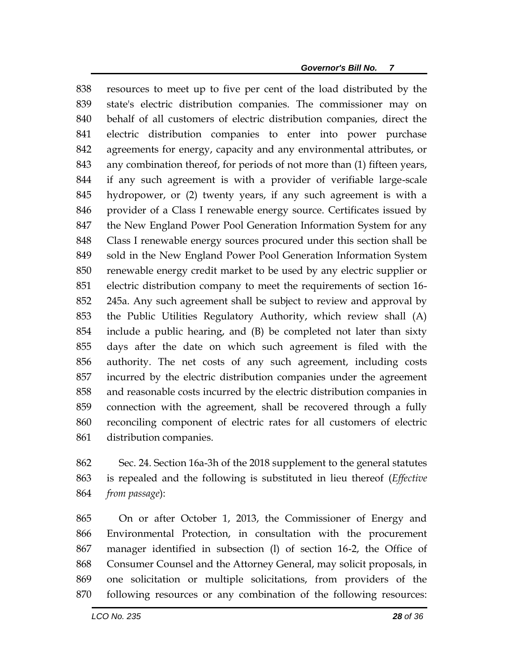resources to meet up to five per cent of the load distributed by the state's electric distribution companies. The commissioner may on behalf of all customers of electric distribution companies, direct the electric distribution companies to enter into power purchase agreements for energy, capacity and any environmental attributes, or any combination thereof, for periods of not more than (1) fifteen years, if any such agreement is with a provider of verifiable large-scale hydropower, or (2) twenty years, if any such agreement is with a provider of a Class I renewable energy source. Certificates issued by the New England Power Pool Generation Information System for any Class I renewable energy sources procured under this section shall be sold in the New England Power Pool Generation Information System renewable energy credit market to be used by any electric supplier or electric distribution company to meet the requirements of section 16- 245a. Any such agreement shall be subject to review and approval by the Public Utilities Regulatory Authority, which review shall (A) include a public hearing, and (B) be completed not later than sixty days after the date on which such agreement is filed with the authority. The net costs of any such agreement, including costs incurred by the electric distribution companies under the agreement and reasonable costs incurred by the electric distribution companies in connection with the agreement, shall be recovered through a fully reconciling component of electric rates for all customers of electric distribution companies.

 Sec. 24. Section 16a-3h of the 2018 supplement to the general statutes is repealed and the following is substituted in lieu thereof (*Effective from passage*):

 On or after October 1, 2013, the Commissioner of Energy and Environmental Protection, in consultation with the procurement manager identified in subsection (l) of section 16-2, the Office of Consumer Counsel and the Attorney General, may solicit proposals, in one solicitation or multiple solicitations, from providers of the following resources or any combination of the following resources: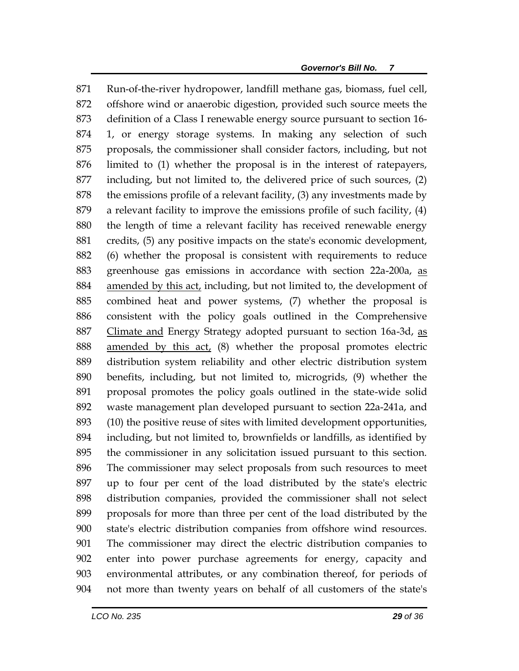Run-of-the-river hydropower, landfill methane gas, biomass, fuel cell, offshore wind or anaerobic digestion, provided such source meets the definition of a Class I renewable energy source pursuant to section 16- 1, or energy storage systems. In making any selection of such proposals, the commissioner shall consider factors, including, but not limited to (1) whether the proposal is in the interest of ratepayers, including, but not limited to, the delivered price of such sources, (2) the emissions profile of a relevant facility, (3) any investments made by a relevant facility to improve the emissions profile of such facility, (4) the length of time a relevant facility has received renewable energy credits, (5) any positive impacts on the state's economic development, (6) whether the proposal is consistent with requirements to reduce greenhouse gas emissions in accordance with section 22a-200a, as 884 amended by this act, including, but not limited to, the development of combined heat and power systems, (7) whether the proposal is consistent with the policy goals outlined in the Comprehensive Climate and Energy Strategy adopted pursuant to section 16a-3d, as amended by this act, (8) whether the proposal promotes electric distribution system reliability and other electric distribution system benefits, including, but not limited to, microgrids, (9) whether the proposal promotes the policy goals outlined in the state-wide solid waste management plan developed pursuant to section 22a-241a, and (10) the positive reuse of sites with limited development opportunities, including, but not limited to, brownfields or landfills, as identified by the commissioner in any solicitation issued pursuant to this section. The commissioner may select proposals from such resources to meet up to four per cent of the load distributed by the state's electric distribution companies, provided the commissioner shall not select proposals for more than three per cent of the load distributed by the state's electric distribution companies from offshore wind resources. The commissioner may direct the electric distribution companies to enter into power purchase agreements for energy, capacity and environmental attributes, or any combination thereof, for periods of not more than twenty years on behalf of all customers of the state's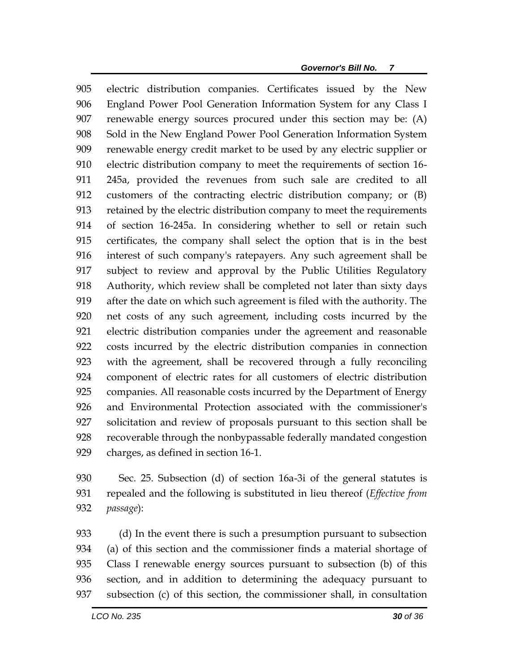electric distribution companies. Certificates issued by the New England Power Pool Generation Information System for any Class I renewable energy sources procured under this section may be: (A) Sold in the New England Power Pool Generation Information System renewable energy credit market to be used by any electric supplier or electric distribution company to meet the requirements of section 16- 245a, provided the revenues from such sale are credited to all customers of the contracting electric distribution company; or (B) retained by the electric distribution company to meet the requirements of section 16-245a. In considering whether to sell or retain such certificates, the company shall select the option that is in the best interest of such company's ratepayers. Any such agreement shall be subject to review and approval by the Public Utilities Regulatory Authority, which review shall be completed not later than sixty days after the date on which such agreement is filed with the authority. The net costs of any such agreement, including costs incurred by the electric distribution companies under the agreement and reasonable costs incurred by the electric distribution companies in connection with the agreement, shall be recovered through a fully reconciling component of electric rates for all customers of electric distribution companies. All reasonable costs incurred by the Department of Energy and Environmental Protection associated with the commissioner's solicitation and review of proposals pursuant to this section shall be recoverable through the nonbypassable federally mandated congestion charges, as defined in section 16-1.

 Sec. 25. Subsection (d) of section 16a-3i of the general statutes is repealed and the following is substituted in lieu thereof (*Effective from passage*):

 (d) In the event there is such a presumption pursuant to subsection (a) of this section and the commissioner finds a material shortage of Class I renewable energy sources pursuant to subsection (b) of this section, and in addition to determining the adequacy pursuant to subsection (c) of this section, the commissioner shall, in consultation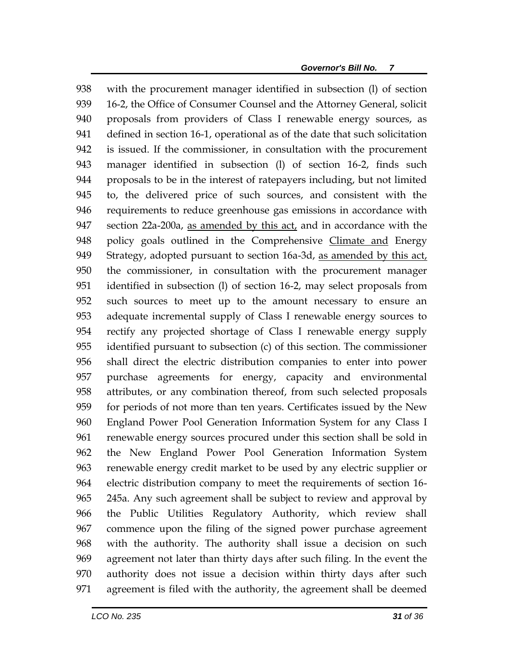with the procurement manager identified in subsection (l) of section 939 16-2, the Office of Consumer Counsel and the Attorney General, solicit proposals from providers of Class I renewable energy sources, as defined in section 16-1, operational as of the date that such solicitation is issued. If the commissioner, in consultation with the procurement manager identified in subsection (l) of section 16-2, finds such proposals to be in the interest of ratepayers including, but not limited to, the delivered price of such sources, and consistent with the requirements to reduce greenhouse gas emissions in accordance with section 22a-200a, as amended by this act, and in accordance with the policy goals outlined in the Comprehensive Climate and Energy 949 Strategy, adopted pursuant to section 16a-3d, as amended by this act, the commissioner, in consultation with the procurement manager identified in subsection (l) of section 16-2, may select proposals from such sources to meet up to the amount necessary to ensure an adequate incremental supply of Class I renewable energy sources to rectify any projected shortage of Class I renewable energy supply identified pursuant to subsection (c) of this section. The commissioner shall direct the electric distribution companies to enter into power purchase agreements for energy, capacity and environmental attributes, or any combination thereof, from such selected proposals for periods of not more than ten years. Certificates issued by the New England Power Pool Generation Information System for any Class I renewable energy sources procured under this section shall be sold in the New England Power Pool Generation Information System renewable energy credit market to be used by any electric supplier or electric distribution company to meet the requirements of section 16- 245a. Any such agreement shall be subject to review and approval by the Public Utilities Regulatory Authority, which review shall commence upon the filing of the signed power purchase agreement with the authority. The authority shall issue a decision on such agreement not later than thirty days after such filing. In the event the authority does not issue a decision within thirty days after such agreement is filed with the authority, the agreement shall be deemed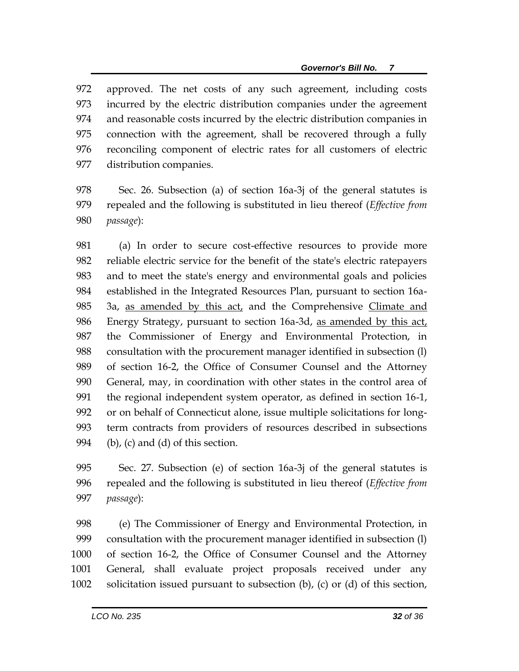approved. The net costs of any such agreement, including costs incurred by the electric distribution companies under the agreement and reasonable costs incurred by the electric distribution companies in connection with the agreement, shall be recovered through a fully reconciling component of electric rates for all customers of electric distribution companies.

 Sec. 26. Subsection (a) of section 16a-3j of the general statutes is repealed and the following is substituted in lieu thereof (*Effective from passage*):

 (a) In order to secure cost-effective resources to provide more reliable electric service for the benefit of the state's electric ratepayers and to meet the state's energy and environmental goals and policies established in the Integrated Resources Plan, pursuant to section 16a-985 3a, as amended by this act, and the Comprehensive Climate and Energy Strategy, pursuant to section 16a-3d, as amended by this act, the Commissioner of Energy and Environmental Protection, in consultation with the procurement manager identified in subsection (l) of section 16-2, the Office of Consumer Counsel and the Attorney General, may, in coordination with other states in the control area of the regional independent system operator, as defined in section 16-1, or on behalf of Connecticut alone, issue multiple solicitations for long- term contracts from providers of resources described in subsections 994 (b), (c) and (d) of this section.

 Sec. 27. Subsection (e) of section 16a-3j of the general statutes is repealed and the following is substituted in lieu thereof (*Effective from passage*):

 (e) The Commissioner of Energy and Environmental Protection, in consultation with the procurement manager identified in subsection (l) of section 16-2, the Office of Consumer Counsel and the Attorney General, shall evaluate project proposals received under any solicitation issued pursuant to subsection (b), (c) or (d) of this section,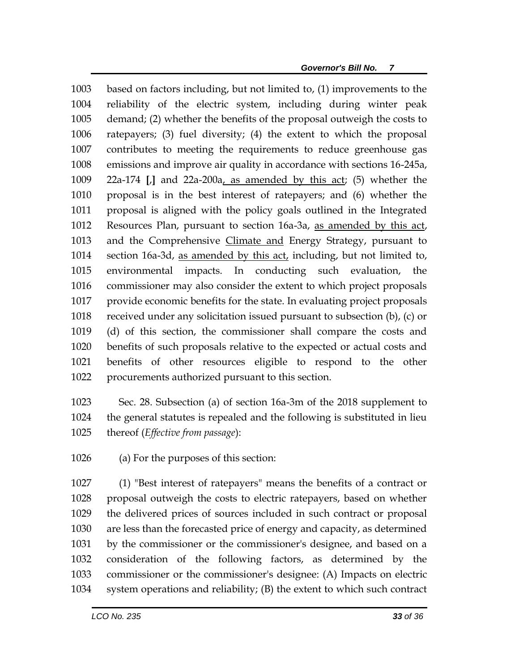based on factors including, but not limited to, (1) improvements to the reliability of the electric system, including during winter peak demand; (2) whether the benefits of the proposal outweigh the costs to ratepayers; (3) fuel diversity; (4) the extent to which the proposal contributes to meeting the requirements to reduce greenhouse gas emissions and improve air quality in accordance with sections 16-245a, 22a-174 **[**,**]** and 22a-200a, as amended by this act; (5) whether the proposal is in the best interest of ratepayers; and (6) whether the proposal is aligned with the policy goals outlined in the Integrated Resources Plan, pursuant to section 16a-3a, as amended by this act, and the Comprehensive Climate and Energy Strategy, pursuant to section 16a-3d, as amended by this act, including, but not limited to, environmental impacts. In conducting such evaluation, the commissioner may also consider the extent to which project proposals provide economic benefits for the state. In evaluating project proposals received under any solicitation issued pursuant to subsection (b), (c) or (d) of this section, the commissioner shall compare the costs and benefits of such proposals relative to the expected or actual costs and benefits of other resources eligible to respond to the other procurements authorized pursuant to this section.

 Sec. 28. Subsection (a) of section 16a-3m of the 2018 supplement to the general statutes is repealed and the following is substituted in lieu thereof (*Effective from passage*):

(a) For the purposes of this section:

 (1) "Best interest of ratepayers" means the benefits of a contract or proposal outweigh the costs to electric ratepayers, based on whether the delivered prices of sources included in such contract or proposal are less than the forecasted price of energy and capacity, as determined by the commissioner or the commissioner's designee, and based on a consideration of the following factors, as determined by the commissioner or the commissioner's designee: (A) Impacts on electric system operations and reliability; (B) the extent to which such contract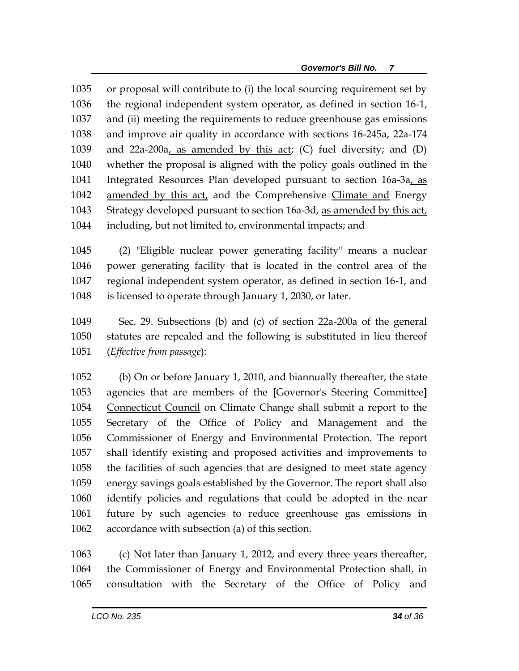or proposal will contribute to (i) the local sourcing requirement set by the regional independent system operator, as defined in section 16-1, and (ii) meeting the requirements to reduce greenhouse gas emissions and improve air quality in accordance with sections 16-245a, 22a-174 and 22a-200a, as amended by this act; (C) fuel diversity; and (D) whether the proposal is aligned with the policy goals outlined in the Integrated Resources Plan developed pursuant to section 16a-3a, as 1042 amended by this act, and the Comprehensive Climate and Energy Strategy developed pursuant to section 16a-3d, as amended by this act, including, but not limited to, environmental impacts; and

 (2) "Eligible nuclear power generating facility" means a nuclear power generating facility that is located in the control area of the regional independent system operator, as defined in section 16-1, and is licensed to operate through January 1, 2030, or later.

 Sec. 29. Subsections (b) and (c) of section 22a-200a of the general statutes are repealed and the following is substituted in lieu thereof (*Effective from passage*):

 (b) On or before January 1, 2010, and biannually thereafter, the state agencies that are members of the **[**Governor's Steering Committee**]** Connecticut Council on Climate Change shall submit a report to the Secretary of the Office of Policy and Management and the Commissioner of Energy and Environmental Protection. The report shall identify existing and proposed activities and improvements to the facilities of such agencies that are designed to meet state agency energy savings goals established by the Governor. The report shall also identify policies and regulations that could be adopted in the near future by such agencies to reduce greenhouse gas emissions in accordance with subsection (a) of this section.

 (c) Not later than January 1, 2012, and every three years thereafter, the Commissioner of Energy and Environmental Protection shall, in consultation with the Secretary of the Office of Policy and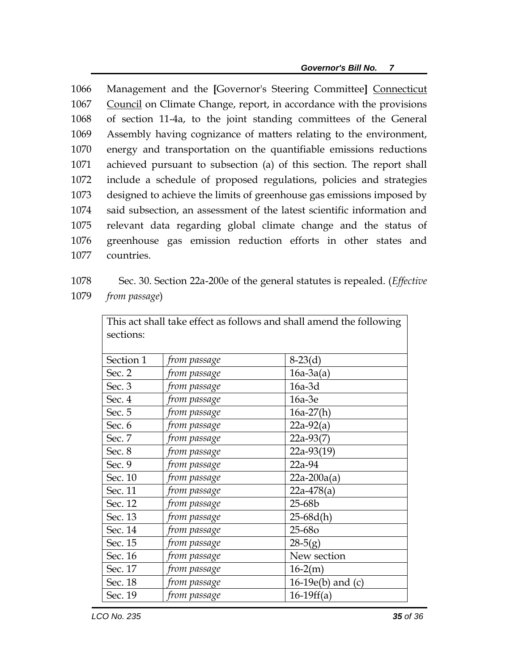Management and the **[**Governor's Steering Committee**]** Connecticut Council on Climate Change, report, in accordance with the provisions of section 11-4a, to the joint standing committees of the General Assembly having cognizance of matters relating to the environment, energy and transportation on the quantifiable emissions reductions achieved pursuant to subsection (a) of this section. The report shall include a schedule of proposed regulations, policies and strategies designed to achieve the limits of greenhouse gas emissions imposed by said subsection, an assessment of the latest scientific information and relevant data regarding global climate change and the status of greenhouse gas emission reduction efforts in other states and countries.

1078 Sec. 30. Section 22a-200e of the general statutes is repealed. (*Effective*  1079 *from passage*)

| This act shall take effect as follows and shall amend the following |              |                        |  |
|---------------------------------------------------------------------|--------------|------------------------|--|
| sections:                                                           |              |                        |  |
|                                                                     |              |                        |  |
| Section 1                                                           | from passage | $8-23(d)$              |  |
| Sec. 2                                                              | from passage | $16a-3a(a)$            |  |
| Sec. 3                                                              | from passage | $16a-3d$               |  |
| Sec. 4                                                              | from passage | 16a-3e                 |  |
| Sec. 5                                                              | from passage | $16a-27(h)$            |  |
| Sec. 6                                                              | from passage | $22a-92(a)$            |  |
| Sec. 7                                                              | from passage | $22a-93(7)$            |  |
| Sec. 8                                                              | from passage | 22a-93(19)             |  |
| Sec. 9                                                              | from passage | 22a-94                 |  |
| Sec. 10                                                             | from passage | $22a - 200a(a)$        |  |
| Sec. 11                                                             | from passage | $22a-478(a)$           |  |
| Sec. 12                                                             | from passage | 25-68b                 |  |
| Sec. 13                                                             | from passage | $25-68d(h)$            |  |
| Sec. 14                                                             | from passage | 25-680                 |  |
| Sec. 15                                                             | from passage | $28-5(g)$              |  |
| Sec. 16                                                             | from passage | New section            |  |
| Sec. 17                                                             | from passage | $16-2(m)$              |  |
| Sec. 18                                                             | from passage | 16-19 $e(b)$ and $(c)$ |  |
| Sec. 19                                                             | from passage | $16-19ff(a)$           |  |